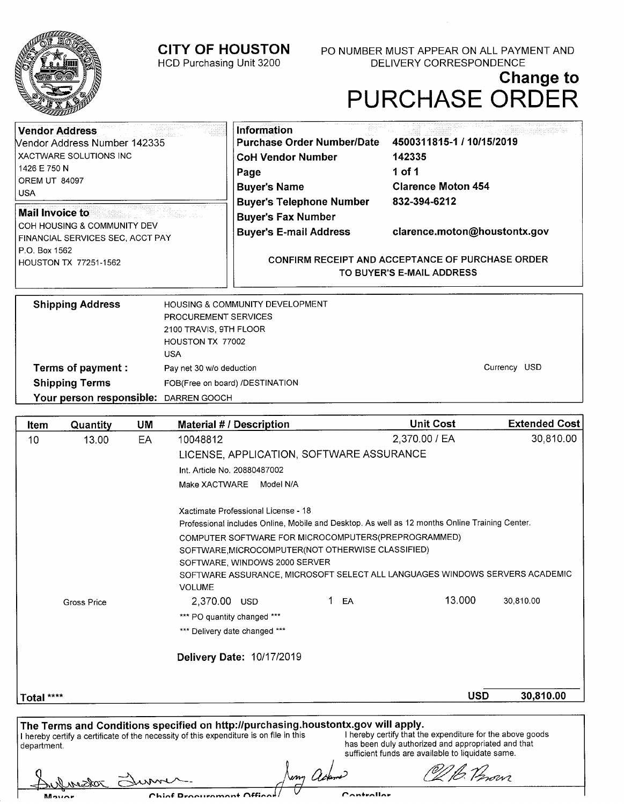## **CITY OF HOUSTON**  HCD Purchasing Unit 3200

P0 NUMBER MUST APPEAR ON ALL PAYMENT AND DELIVERY CORRESPONDENCE

## **Change to**  PURCHASE ORDER

| <b>Vendor Address</b><br>Vendor Address Number 142335               | <b>Information</b><br><b>Purchase Order Number/Date</b>                              | 4500311815-1 / 10/15/2019    |  |
|---------------------------------------------------------------------|--------------------------------------------------------------------------------------|------------------------------|--|
| XACTWARE SOLUTIONS INC                                              | <b>CoH Vendor Number</b>                                                             | 142335                       |  |
| 1426 E 750 N                                                        | Page                                                                                 | 1 of 1                       |  |
| OREM UT 84097<br><b>USA</b>                                         | <b>Buyer's Name</b>                                                                  | <b>Clarence Moton 454</b>    |  |
|                                                                     | <b>Buyer's Telephone Number</b>                                                      | 832-394-6212                 |  |
| <b>Mail Invoice to</b>                                              | <b>Buyer's Fax Number</b>                                                            |                              |  |
| l COH HOUSING & COMMUNITY DEV<br>  FINANCIAL SERVICES SEC, ACCT PAY | <b>Buyer's E-mail Address</b>                                                        | clarence.moton@houstontx.gov |  |
| P.O. Box 1562<br>HOUSTON TX 77251-1562                              | <b>CONFIRM RECEIPT AND ACCEPTANCE OF PURCHASE ORDER</b><br>TO BUYER'S E-MAIL ADDRESS |                              |  |

| <b>Shipping Address</b>               | <b>HOUSING &amp; COMMUNITY DEVELOPMENT</b> |              |
|---------------------------------------|--------------------------------------------|--------------|
|                                       | PROCUREMENT SERVICES                       |              |
|                                       | 2100 TRAVIS, 9TH FLOOR                     |              |
|                                       | HOUSTON TX 77002                           |              |
|                                       | USA                                        |              |
| Terms of payment :                    | Pay net 30 w/o deduction                   | Currency USD |
| <b>Shipping Terms</b>                 | FOB(Free on board) /DESTINATION            |              |
| Your person responsible: DARREN GOOCH |                                            |              |

| Item        | Quantity           | UM | <b>Material # / Description</b>                                                                                                                                             |          | <b>Unit Cost</b>                                                                                                                                                     | <b>Extended Cost</b> |
|-------------|--------------------|----|-----------------------------------------------------------------------------------------------------------------------------------------------------------------------------|----------|----------------------------------------------------------------------------------------------------------------------------------------------------------------------|----------------------|
| 10          | 13.00              | EA | 10048812                                                                                                                                                                    |          | 2,370.00 / EA                                                                                                                                                        | 30,810.00            |
|             |                    |    | LICENSE, APPLICATION, SOFTWARE ASSURANCE                                                                                                                                    |          |                                                                                                                                                                      |                      |
|             |                    |    | Int. Article No. 20880487002                                                                                                                                                |          |                                                                                                                                                                      |                      |
|             |                    |    | Make XACTWARE<br>Model N/A                                                                                                                                                  |          |                                                                                                                                                                      |                      |
|             |                    |    | Xactimate Professional License - 18                                                                                                                                         |          |                                                                                                                                                                      |                      |
|             |                    |    | Professional includes Online, Mobile and Desktop. As well as 12 months Online Training Center.                                                                              |          |                                                                                                                                                                      |                      |
|             |                    |    | COMPUTER SOFTWARE FOR MICROCOMPUTERS(PREPROGRAMMED)                                                                                                                         |          |                                                                                                                                                                      |                      |
|             |                    |    | SOFTWARE MICROCOMPUTER(NOT OTHERWISE CLASSIFIED)                                                                                                                            |          |                                                                                                                                                                      |                      |
|             |                    |    | SOFTWARE, WINDOWS 2000 SERVER<br>SOFTWARE ASSURANCE, MICROSOFT SELECT ALL LANGUAGES WINDOWS SERVERS ACADEMIC<br><b>VOLUME</b>                                               |          |                                                                                                                                                                      |                      |
|             | <b>Gross Price</b> |    | 2,370.00 USD                                                                                                                                                                | 1.<br>EA | 13.000                                                                                                                                                               | 30,810.00            |
|             |                    |    | *** PO quantity changed ***                                                                                                                                                 |          |                                                                                                                                                                      |                      |
|             |                    |    | *** Delivery date changed ***                                                                                                                                               |          |                                                                                                                                                                      |                      |
|             |                    |    | Delivery Date: 10/17/2019                                                                                                                                                   |          |                                                                                                                                                                      |                      |
| Total ****  |                    |    |                                                                                                                                                                             |          | <b>USD</b>                                                                                                                                                           | 30,810.00            |
|             |                    |    |                                                                                                                                                                             |          |                                                                                                                                                                      |                      |
| department. |                    |    | The Terms and Conditions specified on http://purchasing.houstontx.gov will apply.<br>I hereby certify a certificate of the necessity of this expenditure is on file in this |          | I hereby certify that the expenditure for the above goods<br>has been duly authorized and appropriated and that<br>sufficient funds are available to liquidate same. |                      |

uny Ap

Chinf Dro nt Offin

Controllor

Of B. Perour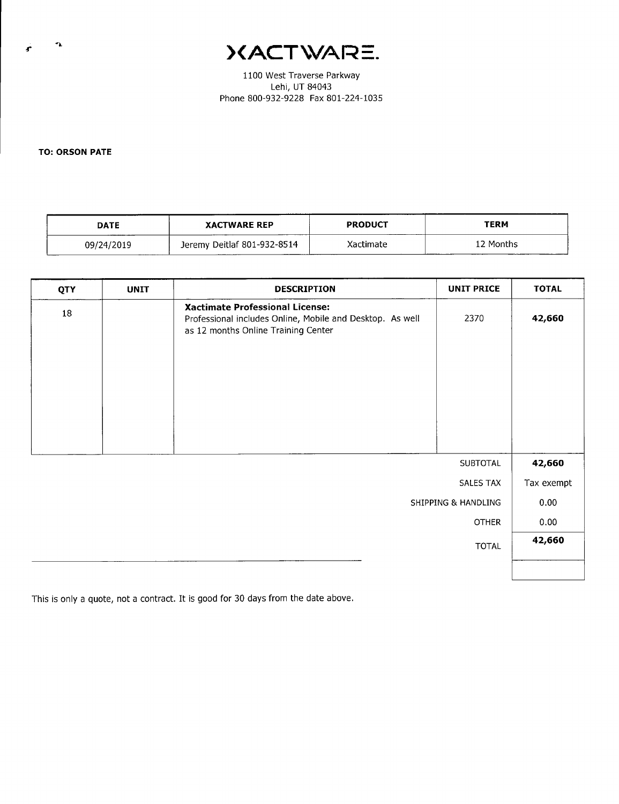)(ACTWARE.

1100 West Traverse Parkway Lehi, UT 84043 Phone 800-932-9228 Fax 801-224-1035

**TO: ORSON PATE** 

| <b>DATE</b> | <b>XACTWARE REP</b>         | <b>PRODUCT</b> | <b>TERM</b> |
|-------------|-----------------------------|----------------|-------------|
| 09/24/2019  | Jeremy Deitlaf 801-932-8514 | Xactimate      | 12 Months   |

| QTY | <b>UNIT</b> | <b>DESCRIPTION</b>                                                                                                                  | <b>UNIT PRICE</b>   | <b>TOTAL</b> |
|-----|-------------|-------------------------------------------------------------------------------------------------------------------------------------|---------------------|--------------|
| 18  |             | Xactimate Professional License:<br>Professional includes Online, Mobile and Desktop. As well<br>as 12 months Online Training Center | 2370                | 42,660       |
|     |             |                                                                                                                                     |                     |              |
|     |             |                                                                                                                                     |                     |              |
|     |             |                                                                                                                                     | SUBTOTAL            | 42,660       |
|     |             |                                                                                                                                     | SALES TAX           | Tax exempt   |
|     |             |                                                                                                                                     | SHIPPING & HANDLING | 0.00         |
|     |             |                                                                                                                                     | <b>OTHER</b>        | 0.00         |
|     |             |                                                                                                                                     | <b>TOTAL</b>        | 42,660       |
|     |             |                                                                                                                                     |                     |              |

This is only a quote, not a contract. It is good for 30 days from the date above.

۰,